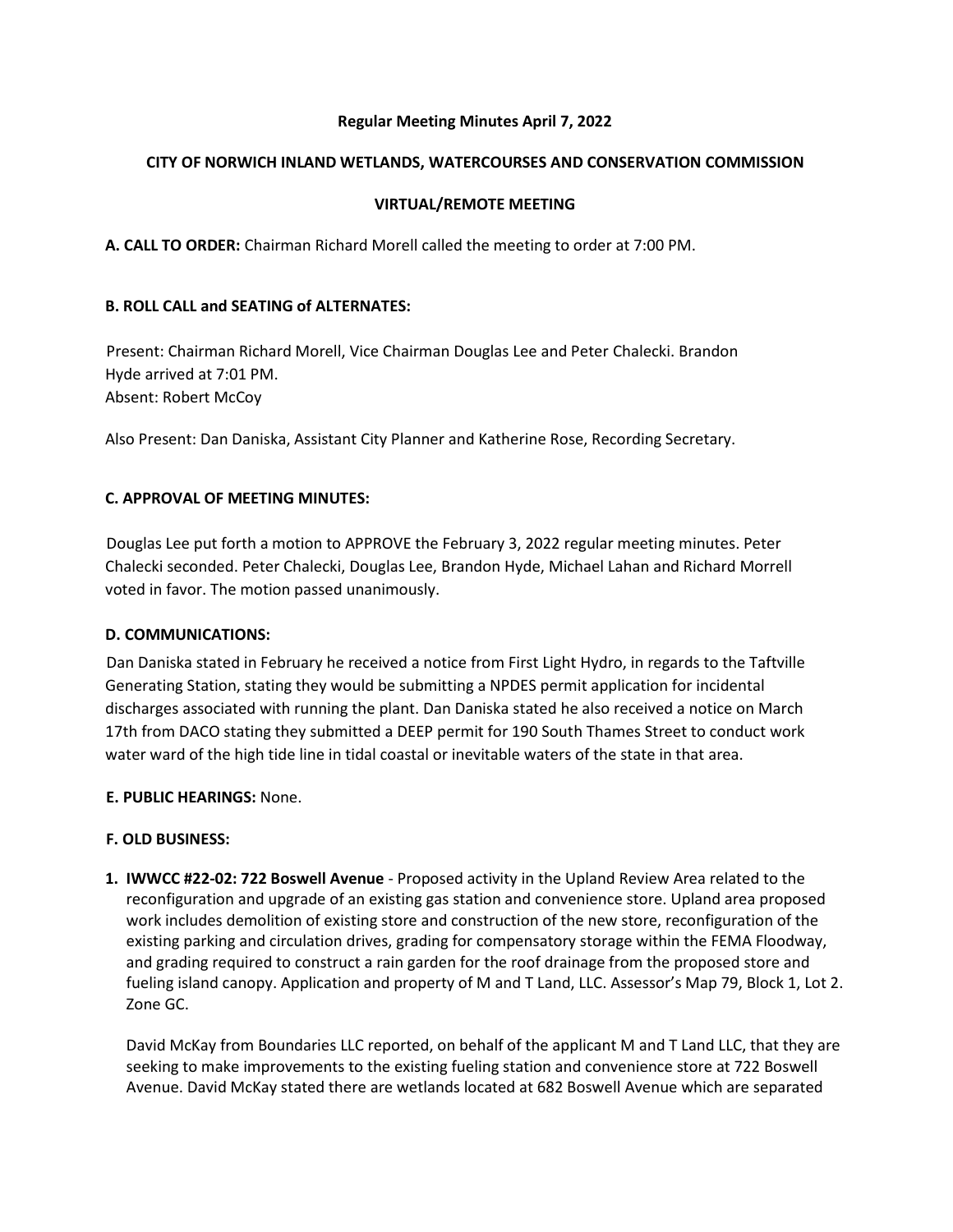# **Regular Meeting Minutes April 7, 2022**

#### **CITY OF NORWICH INLAND WETLANDS, WATERCOURSES AND CONSERVATION COMMISSION**

# **VIRTUAL/REMOTE MEETING**

**A. CALL TO ORDER:** Chairman Richard Morell called the meeting to order at 7:00 PM.

#### **B. ROLL CALL and SEATING of ALTERNATES:**

Present: Chairman Richard Morell, Vice Chairman Douglas Lee and Peter Chalecki. Brandon Hyde arrived at 7:01 PM. Absent: Robert McCoy

Also Present: Dan Daniska, Assistant City Planner and Katherine Rose, Recording Secretary.

#### **C. APPROVAL OF MEETING MINUTES:**

Douglas Lee put forth a motion to APPROVE the February 3, 2022 regular meeting minutes. Peter Chalecki seconded. Peter Chalecki, Douglas Lee, Brandon Hyde, Michael Lahan and Richard Morrell voted in favor. The motion passed unanimously.

#### **D. COMMUNICATIONS:**

Dan Daniska stated in February he received a notice from First Light Hydro, in regards to the Taftville Generating Station, stating they would be submitting a NPDES permit application for incidental discharges associated with running the plant. Dan Daniska stated he also received a notice on March 17th from DACO stating they submitted a DEEP permit for 190 South Thames Street to conduct work water ward of the high tide line in tidal coastal or inevitable waters of the state in that area.

# **E. PUBLIC HEARINGS:** None.

# **F. OLD BUSINESS:**

**1. IWWCC #22-02: 722 Boswell Avenue** - Proposed activity in the Upland Review Area related to the reconfiguration and upgrade of an existing gas station and convenience store. Upland area proposed work includes demolition of existing store and construction of the new store, reconfiguration of the existing parking and circulation drives, grading for compensatory storage within the FEMA Floodway, and grading required to construct a rain garden for the roof drainage from the proposed store and fueling island canopy. Application and property of M and T Land, LLC. Assessor's Map 79, Block 1, Lot 2. Zone GC.

David McKay from Boundaries LLC reported, on behalf of the applicant M and T Land LLC, that they are seeking to make improvements to the existing fueling station and convenience store at 722 Boswell Avenue. David McKay stated there are wetlands located at 682 Boswell Avenue which are separated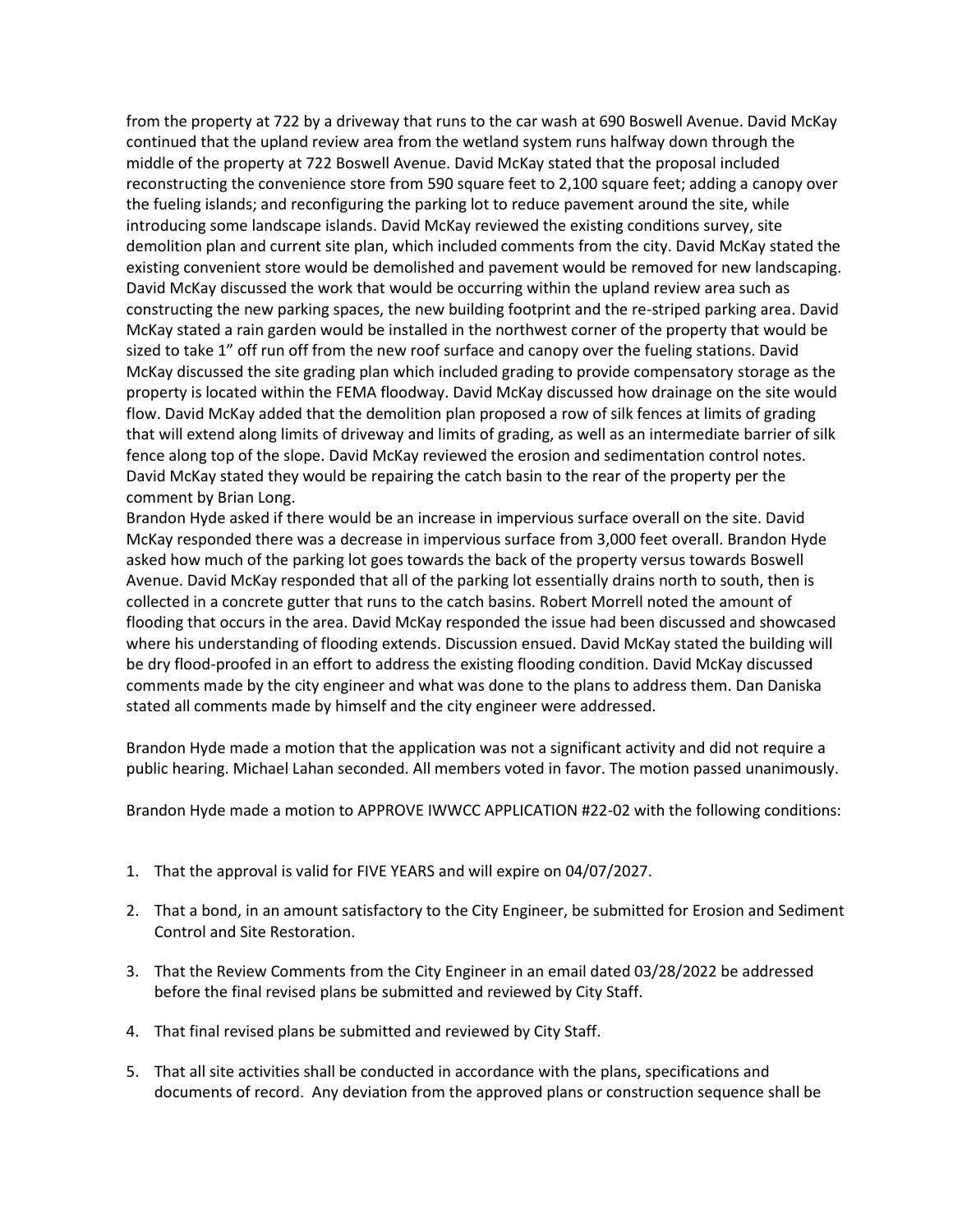from the property at 722 by a driveway that runs to the car wash at 690 Boswell Avenue. David McKay continued that the upland review area from the wetland system runs halfway down through the middle of the property at 722 Boswell Avenue. David McKay stated that the proposal included reconstructing the convenience store from 590 square feet to 2,100 square feet; adding a canopy over the fueling islands; and reconfiguring the parking lot to reduce pavement around the site, while introducing some landscape islands. David McKay reviewed the existing conditions survey, site demolition plan and current site plan, which included comments from the city. David McKay stated the existing convenient store would be demolished and pavement would be removed for new landscaping. David McKay discussed the work that would be occurring within the upland review area such as constructing the new parking spaces, the new building footprint and the re-striped parking area. David McKay stated a rain garden would be installed in the northwest corner of the property that would be sized to take 1" off run off from the new roof surface and canopy over the fueling stations. David McKay discussed the site grading plan which included grading to provide compensatory storage as the property is located within the FEMA floodway. David McKay discussed how drainage on the site would flow. David McKay added that the demolition plan proposed a row of silk fences at limits of grading that will extend along limits of driveway and limits of grading, as well as an intermediate barrier of silk fence along top of the slope. David McKay reviewed the erosion and sedimentation control notes. David McKay stated they would be repairing the catch basin to the rear of the property per the comment by Brian Long.

Brandon Hyde asked if there would be an increase in impervious surface overall on the site. David McKay responded there was a decrease in impervious surface from 3,000 feet overall. Brandon Hyde asked how much of the parking lot goes towards the back of the property versus towards Boswell Avenue. David McKay responded that all of the parking lot essentially drains north to south, then is collected in a concrete gutter that runs to the catch basins. Robert Morrell noted the amount of flooding that occurs in the area. David McKay responded the issue had been discussed and showcased where his understanding of flooding extends. Discussion ensued. David McKay stated the building will be dry flood-proofed in an effort to address the existing flooding condition. David McKay discussed comments made by the city engineer and what was done to the plans to address them. Dan Daniska stated all comments made by himself and the city engineer were addressed.

Brandon Hyde made a motion that the application was not a significant activity and did not require a public hearing. Michael Lahan seconded. All members voted in favor. The motion passed unanimously.

Brandon Hyde made a motion to APPROVE IWWCC APPLICATION #22-02 with the following conditions:

- 1. That the approval is valid for FIVE YEARS and will expire on 04/07/2027.
- 2. That a bond, in an amount satisfactory to the City Engineer, be submitted for Erosion and Sediment Control and Site Restoration.
- 3. That the Review Comments from the City Engineer in an email dated 03/28/2022 be addressed before the final revised plans be submitted and reviewed by City Staff.
- 4. That final revised plans be submitted and reviewed by City Staff.
- 5. That all site activities shall be conducted in accordance with the plans, specifications and documents of record. Any deviation from the approved plans or construction sequence shall be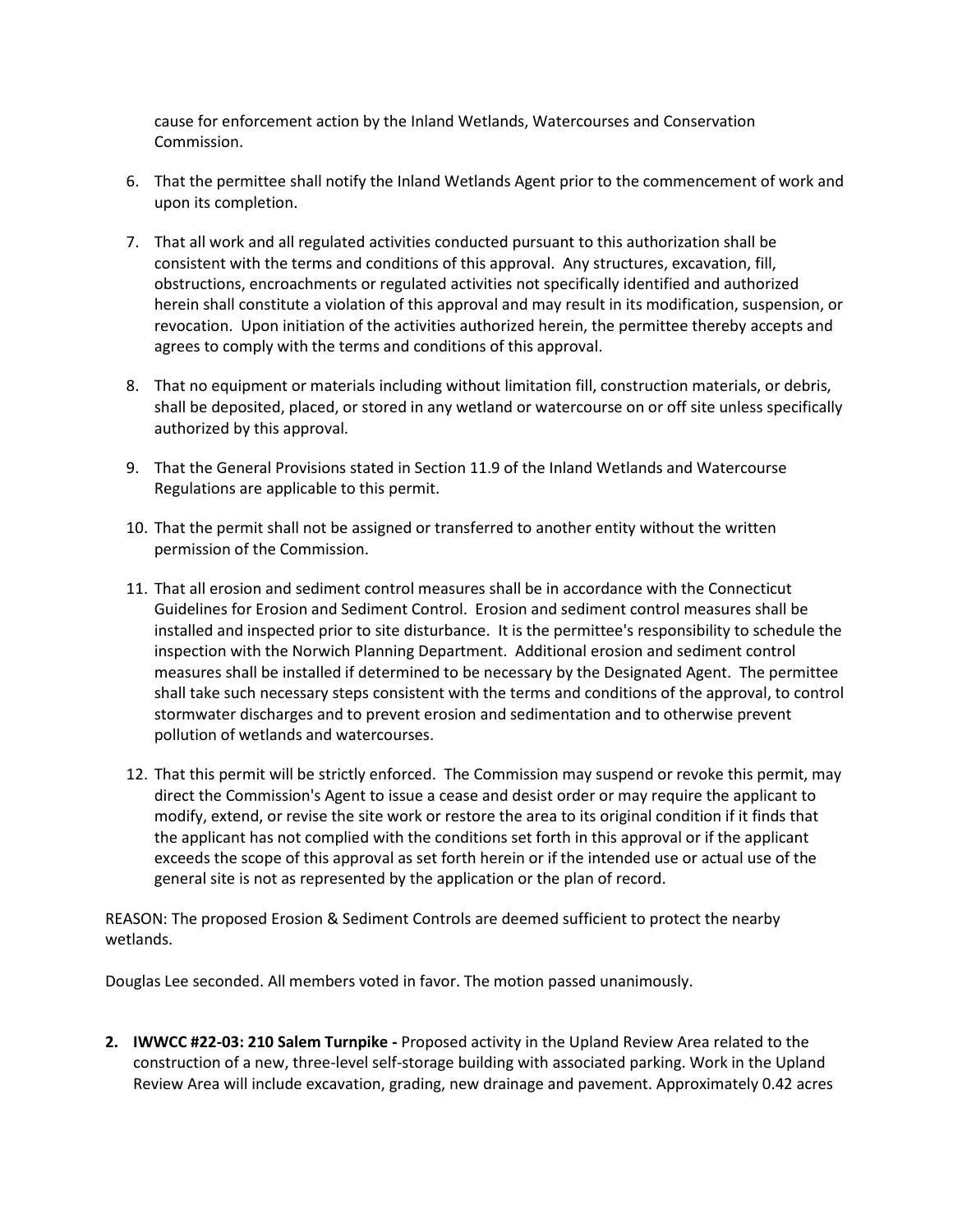cause for enforcement action by the Inland Wetlands, Watercourses and Conservation Commission.

- 6. That the permittee shall notify the Inland Wetlands Agent prior to the commencement of work and upon its completion.
- 7. That all work and all regulated activities conducted pursuant to this authorization shall be consistent with the terms and conditions of this approval. Any structures, excavation, fill, obstructions, encroachments or regulated activities not specifically identified and authorized herein shall constitute a violation of this approval and may result in its modification, suspension, or revocation. Upon initiation of the activities authorized herein, the permittee thereby accepts and agrees to comply with the terms and conditions of this approval.
- 8. That no equipment or materials including without limitation fill, construction materials, or debris, shall be deposited, placed, or stored in any wetland or watercourse on or off site unless specifically authorized by this approval.
- 9. That the General Provisions stated in Section 11.9 of the Inland Wetlands and Watercourse Regulations are applicable to this permit.
- 10. That the permit shall not be assigned or transferred to another entity without the written permission of the Commission.
- 11. That all erosion and sediment control measures shall be in accordance with the Connecticut Guidelines for Erosion and Sediment Control. Erosion and sediment control measures shall be installed and inspected prior to site disturbance. It is the permittee's responsibility to schedule the inspection with the Norwich Planning Department. Additional erosion and sediment control measures shall be installed if determined to be necessary by the Designated Agent. The permittee shall take such necessary steps consistent with the terms and conditions of the approval, to control stormwater discharges and to prevent erosion and sedimentation and to otherwise prevent pollution of wetlands and watercourses.
- 12. That this permit will be strictly enforced. The Commission may suspend or revoke this permit, may direct the Commission's Agent to issue a cease and desist order or may require the applicant to modify, extend, or revise the site work or restore the area to its original condition if it finds that the applicant has not complied with the conditions set forth in this approval or if the applicant exceeds the scope of this approval as set forth herein or if the intended use or actual use of the general site is not as represented by the application or the plan of record.

REASON: The proposed Erosion & Sediment Controls are deemed sufficient to protect the nearby wetlands.

Douglas Lee seconded. All members voted in favor. The motion passed unanimously.

**2. IWWCC #22-03: 210 Salem Turnpike -** Proposed activity in the Upland Review Area related to the construction of a new, three-level self-storage building with associated parking. Work in the Upland Review Area will include excavation, grading, new drainage and pavement. Approximately 0.42 acres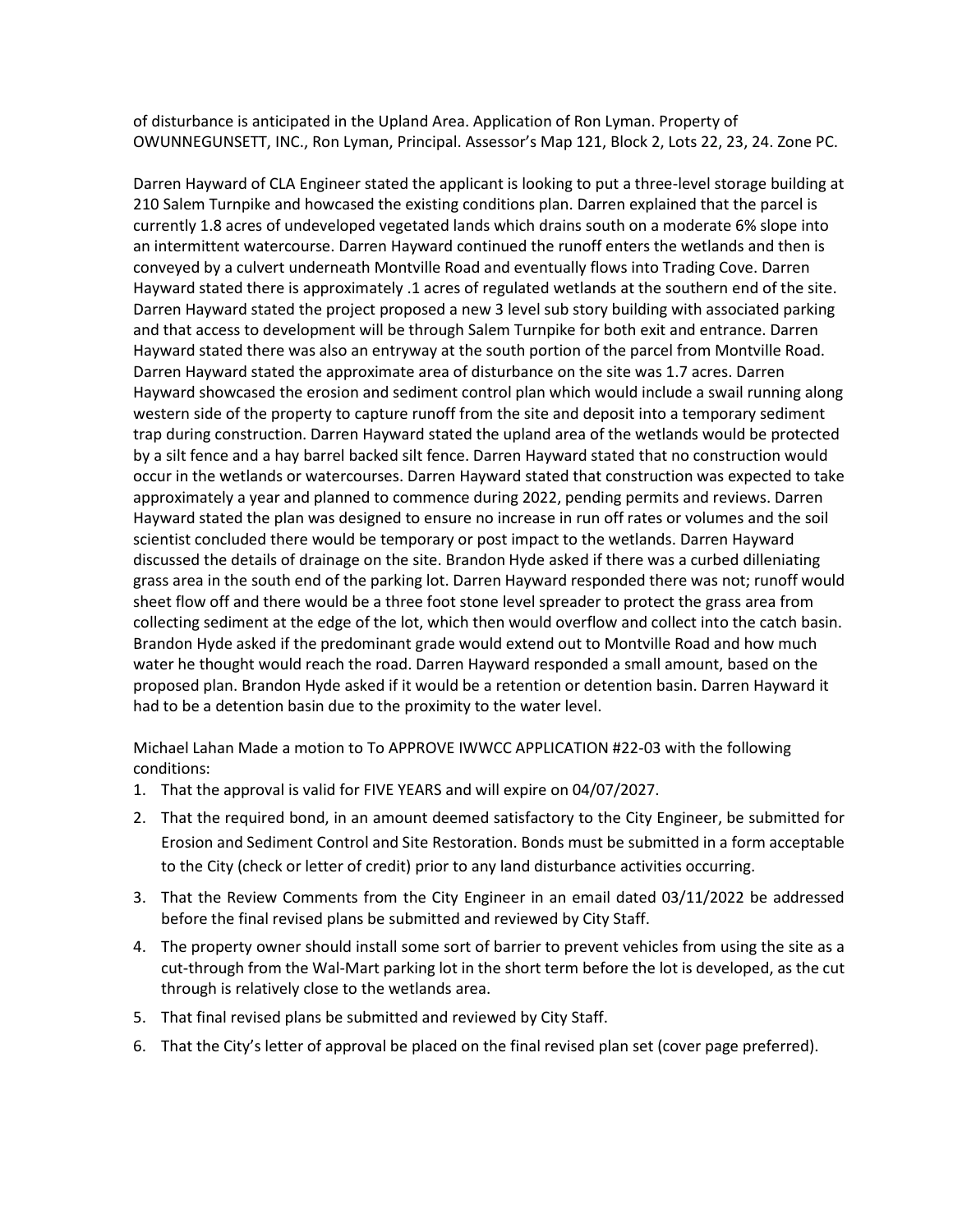of disturbance is anticipated in the Upland Area. Application of Ron Lyman. Property of OWUNNEGUNSETT, INC., Ron Lyman, Principal. Assessor's Map 121, Block 2, Lots 22, 23, 24. Zone PC.

Darren Hayward of CLA Engineer stated the applicant is looking to put a three-level storage building at 210 Salem Turnpike and howcased the existing conditions plan. Darren explained that the parcel is currently 1.8 acres of undeveloped vegetated lands which drains south on a moderate 6% slope into an intermittent watercourse. Darren Hayward continued the runoff enters the wetlands and then is conveyed by a culvert underneath Montville Road and eventually flows into Trading Cove. Darren Hayward stated there is approximately .1 acres of regulated wetlands at the southern end of the site. Darren Hayward stated the project proposed a new 3 level sub story building with associated parking and that access to development will be through Salem Turnpike for both exit and entrance. Darren Hayward stated there was also an entryway at the south portion of the parcel from Montville Road. Darren Hayward stated the approximate area of disturbance on the site was 1.7 acres. Darren Hayward showcased the erosion and sediment control plan which would include a swail running along western side of the property to capture runoff from the site and deposit into a temporary sediment trap during construction. Darren Hayward stated the upland area of the wetlands would be protected by a silt fence and a hay barrel backed silt fence. Darren Hayward stated that no construction would occur in the wetlands or watercourses. Darren Hayward stated that construction was expected to take approximately a year and planned to commence during 2022, pending permits and reviews. Darren Hayward stated the plan was designed to ensure no increase in run off rates or volumes and the soil scientist concluded there would be temporary or post impact to the wetlands. Darren Hayward discussed the details of drainage on the site. Brandon Hyde asked if there was a curbed dilleniating grass area in the south end of the parking lot. Darren Hayward responded there was not; runoff would sheet flow off and there would be a three foot stone level spreader to protect the grass area from collecting sediment at the edge of the lot, which then would overflow and collect into the catch basin. Brandon Hyde asked if the predominant grade would extend out to Montville Road and how much water he thought would reach the road. Darren Hayward responded a small amount, based on the proposed plan. Brandon Hyde asked if it would be a retention or detention basin. Darren Hayward it had to be a detention basin due to the proximity to the water level.

Michael Lahan Made a motion to To APPROVE IWWCC APPLICATION #22-03 with the following conditions:

- 1. That the approval is valid for FIVE YEARS and will expire on 04/07/2027.
- 2. That the required bond, in an amount deemed satisfactory to the City Engineer, be submitted for Erosion and Sediment Control and Site Restoration. Bonds must be submitted in a form acceptable to the City (check or letter of credit) prior to any land disturbance activities occurring.
- 3. That the Review Comments from the City Engineer in an email dated 03/11/2022 be addressed before the final revised plans be submitted and reviewed by City Staff.
- 4. The property owner should install some sort of barrier to prevent vehicles from using the site as a cut-through from the Wal-Mart parking lot in the short term before the lot is developed, as the cut through is relatively close to the wetlands area.
- 5. That final revised plans be submitted and reviewed by City Staff.
- 6. That the City's letter of approval be placed on the final revised plan set (cover page preferred).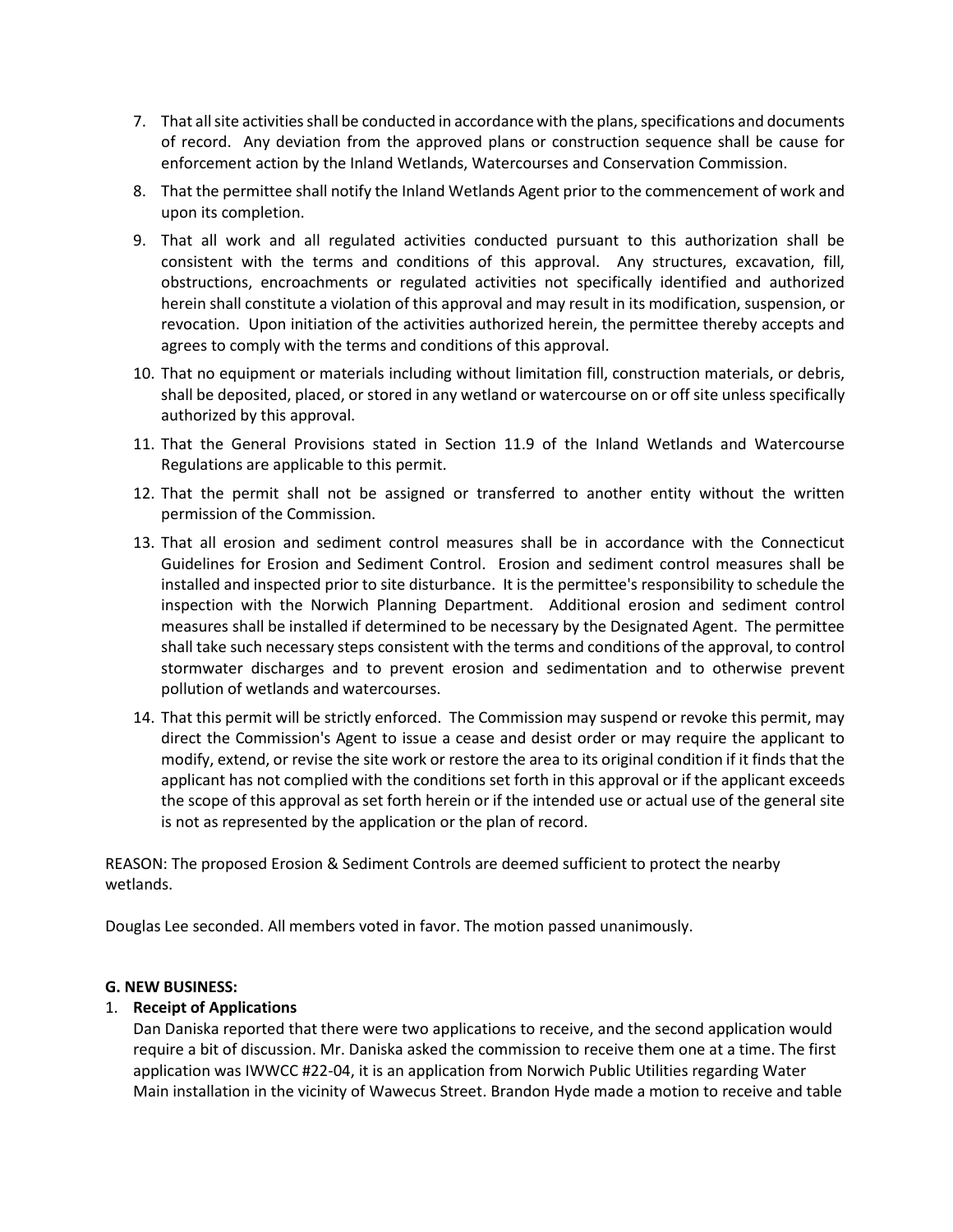- 7. That all site activities shall be conducted in accordance with the plans, specifications and documents of record. Any deviation from the approved plans or construction sequence shall be cause for enforcement action by the Inland Wetlands, Watercourses and Conservation Commission.
- 8. That the permittee shall notify the Inland Wetlands Agent prior to the commencement of work and upon its completion.
- 9. That all work and all regulated activities conducted pursuant to this authorization shall be consistent with the terms and conditions of this approval. Any structures, excavation, fill, obstructions, encroachments or regulated activities not specifically identified and authorized herein shall constitute a violation of this approval and may result in its modification, suspension, or revocation. Upon initiation of the activities authorized herein, the permittee thereby accepts and agrees to comply with the terms and conditions of this approval.
- 10. That no equipment or materials including without limitation fill, construction materials, or debris, shall be deposited, placed, or stored in any wetland or watercourse on or off site unless specifically authorized by this approval.
- 11. That the General Provisions stated in Section 11.9 of the Inland Wetlands and Watercourse Regulations are applicable to this permit.
- 12. That the permit shall not be assigned or transferred to another entity without the written permission of the Commission.
- 13. That all erosion and sediment control measures shall be in accordance with the Connecticut Guidelines for Erosion and Sediment Control. Erosion and sediment control measures shall be installed and inspected prior to site disturbance. It is the permittee's responsibility to schedule the inspection with the Norwich Planning Department. Additional erosion and sediment control measures shall be installed if determined to be necessary by the Designated Agent. The permittee shall take such necessary steps consistent with the terms and conditions of the approval, to control stormwater discharges and to prevent erosion and sedimentation and to otherwise prevent pollution of wetlands and watercourses.
- 14. That this permit will be strictly enforced. The Commission may suspend or revoke this permit, may direct the Commission's Agent to issue a cease and desist order or may require the applicant to modify, extend, or revise the site work or restore the area to its original condition if it finds that the applicant has not complied with the conditions set forth in this approval or if the applicant exceeds the scope of this approval as set forth herein or if the intended use or actual use of the general site is not as represented by the application or the plan of record.

REASON: The proposed Erosion & Sediment Controls are deemed sufficient to protect the nearby wetlands.

Douglas Lee seconded. All members voted in favor. The motion passed unanimously.

# **G. NEW BUSINESS:**

# 1. **Receipt of Applications**

Dan Daniska reported that there were two applications to receive, and the second application would require a bit of discussion. Mr. Daniska asked the commission to receive them one at a time. The first application was IWWCC #22-04, it is an application from Norwich Public Utilities regarding Water Main installation in the vicinity of Wawecus Street. Brandon Hyde made a motion to receive and table